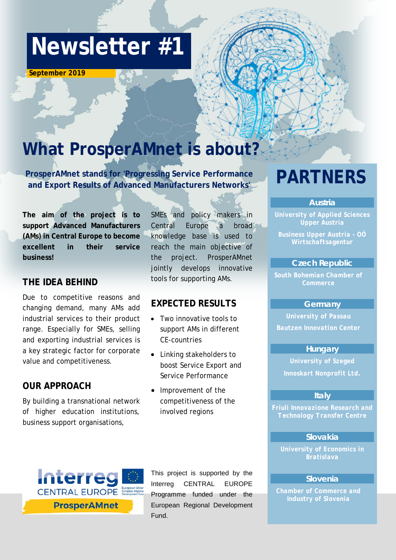# **Newsletter #1**

 **September 2019** 

## **What ProsperAMnet is about?**

**ProsperAMnet stands for 'Progressing Service Performance and Export Results of Advanced Manufacturers Networks' PARTNERS**

**The aim of the project is to support Advanced Manufacturers (AMs) in Central Europe to become excellent in their service business!**

#### **THE IDEA BEHIND**

Due to competitive reasons and changing demand, many AMs add industrial services to their product range. Especially for SMEs, selling and exporting industrial services is a key strategic factor for corporate value and competitiveness.

#### **OUR APPROACH**

By building a transnational network of higher education institutions, business support organisations,

SMEs and policy makers in Central Europe a broad knowledge base is used to reach the main objective of the project. ProsperAMnet jointly develops innovative tools for supporting AMs.

### **EXPECTED RESULTS**

- Two innovative tools to support AMs in different CE-countries
- Linking stakeholders to boost Service Export and Service Performance
- Improvement of the competitiveness of the involved regions



This project is supported by the Interreg CENTRAL EUROPE Programme funded under the European Regional Development Fund.

#### *Austria*

*University of Applied Sciences Upper Austria*

*Business Upper Austria - OÖ Wirtschaftsagentur*

#### *Czech Republic*

*South Bohemian Chamber of Commerce*

#### *Germany*

*University of Passau Bautzen Innovation Center*

#### *Hungary*

*University of Szeged Innoskart Nonprofit Ltd.*

#### *Italy*

*Friuli Innovazione Research and Technology Transfer Centre*

#### *Slovakia*

*University of Economics in Bratislava*

#### *Slovenia*

*Chamber of Commerce and*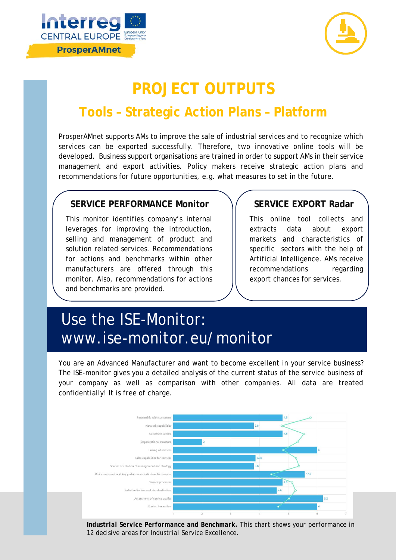



### **PROJECT OUTPUTS**

### **Tools – Strategic Action Plans – Platform**

ProsperAMnet supports AMs to improve the sale of industrial services and to recognize which services can be exported successfully. Therefore, two innovative online tools will be developed. Business support organisations are trained in order to support AMs in their service management and export activities. Policy makers receive strategic action plans and recommendations for future opportunities, e.g. what measures to set in the future.

#### **SERVICE PERFORMANCE Monitor SERVICE EXPORT Radar**

This monitor identifies company's internal leverages for improving the introduction, selling and management of product and solution related services. Recommendations for actions and benchmarks within other manufacturers are offered through this monitor. Also, recommendations for actions and benchmarks are provided.

This online tool collects and extracts data about export markets and characteristics of specific sectors with the help of Artificial Intelligence. AMs receive recommendations regarding export chances for services.

### Use the ISE-Monitor: www.ise-monitor.eu/monitor

You are an Advanced Manufacturer and want to become excellent in your service business? The ISE-monitor gives you a detailed analysis of the current status of the service business of your company as well as comparison with other companies. All data are treated confidentially! It is free of charge.



*Industrial Service Performance and Benchmark. This chart shows your performance in 12 decisive areas for Industrial Service Excellence.*